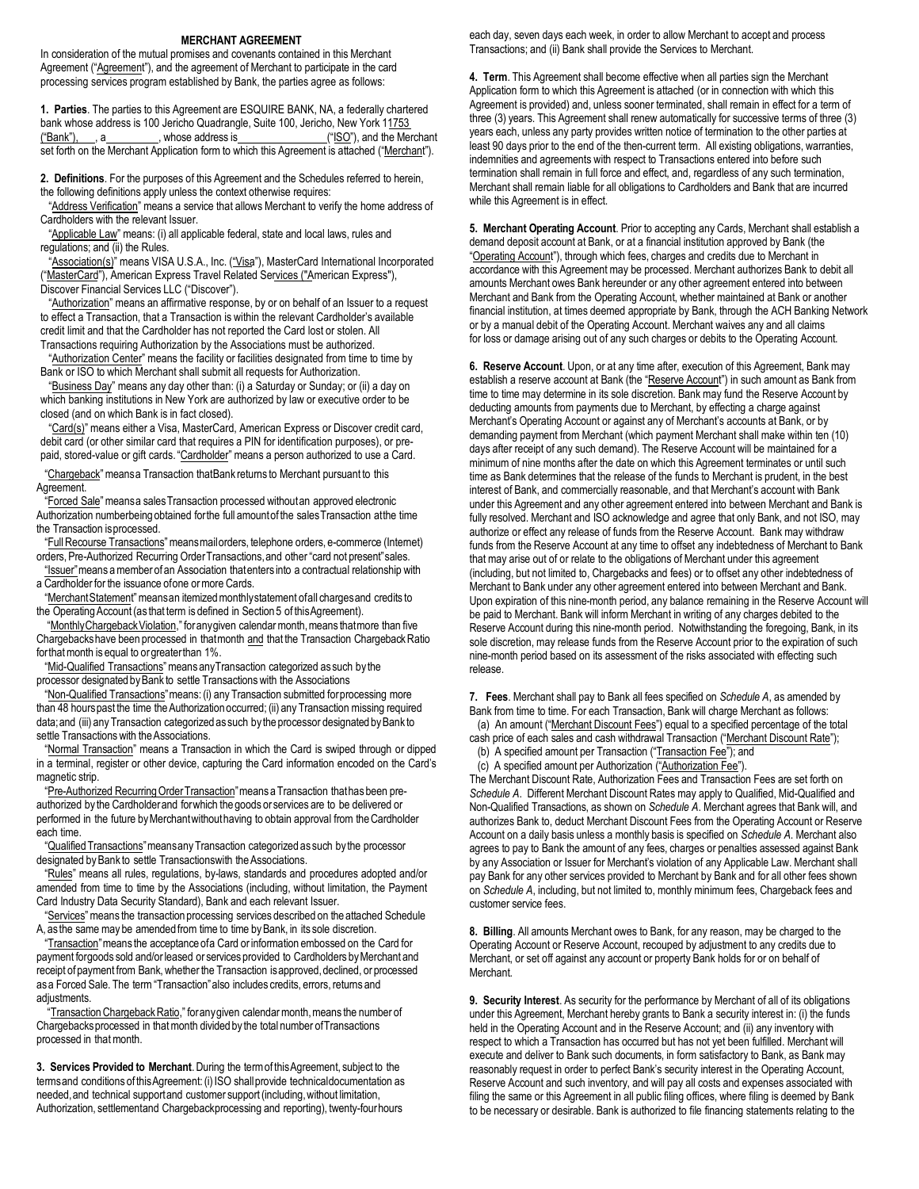#### **MERCHANT AGREEMENT**

In consideration of the mutual promises and covenants contained in this Merchant Agreement ("Agreement"), and the agreement of Merchant to participate in the card processing services program established by Bank, the parties agree as follows:

**1. Parties**. The parties to this Agreement are ESQUIRE BANK, NA, a federally chartered bank whose address is 100 Jericho Quadrangle, Suite 100, Jericho, New York 11753<br>
("Bank"), a \_\_\_\_\_\_, whose address is \_\_\_\_\_\_\_\_\_\_("ISO"), and the Mer  $(iSO")$ , and the Merchant set forth on the Merchant Application form to which this Agreement is attached ("Merchant").

**2. Definitions**. For the purposes of this Agreement and the Schedules referred to herein, the following definitions apply unless the context otherwise requires:

"Address Verification" means a service that allows Merchant to verify the home address of Cardholders with the relevant Issuer.

"Applicable Law" means: (i) all applicable federal, state and local laws, rules and regulations; and (ii) the Rules.

"Association(s)" means VISA U.S.A., Inc. ("Visa"), MasterCard International Incorporated ("MasterCard"), American Express Travel Related Services ("American Express"), Discover Financial Services LLC ("Discover").

"Authorization" means an affirmative response, by or on behalf of an Issuer to a request to effect a Transaction, that a Transaction is within the relevant Cardholder's available credit limit and that the Cardholder has not reported the Card lost or stolen. All Transactions requiring Authorization by the Associations must be authorized.

"Authorization Center" means the facility or facilities designated from time to time by Bank or ISO to which Merchant shall submit all requests for Authorization.

"Business Day" means any day other than: (i) a Saturday or Sunday; or (ii) a day on which banking institutions in New York are authorized by law or executive order to be closed (and on which Bank is in fact closed).

"Card(s)" means either a Visa, MasterCard, American Express or Discover credit card, debit card (or other similar card that requires a PIN for identification purposes), or prepaid, stored-value or gift cards."Cardholder" means a person authorized to use a Card.

"Chargeback" means a Transaction that Bank returns to Merchant pursuant to this Agreement.

"Forced Sale" means a sales Transaction processed without an approved electronic Authorization number being obtained for the full amount of the sales Transaction at the time the Transaction isprocessed.

"Full Recourse Transactions"means mail orders, telephone orders, e-commerce (Internet) orders, Pre-Authorized Recurring Order Transactions, and other "card not present" sales.

"Issuer"means a member of an Association that enters into a contractual relationship with a Cardholder for the issuance ofone ormore Cards.

"Merchant Statement"means an itemized monthly statement ofall charges and credits to the Operating Account (as that term is defined in Section 5 of this Agreement).

"Monthly Chargeback Violation," for any given calendar month, means that more than five Chargebacks have been processed in that month and that the Transaction Chargeback Ratio for that month is equal to orgreater than 1%.

"Mid-Qualified Transactions"means any Transaction categorized as such by the processor designated byBank to settle Transactions with the Associations

"Non-Qualified Transactions"means: (i) any Transaction submitted for processing more than 48 hours past the time the Authorization occurred; (ii) any Transaction missing required data; and (iii) any Transaction categorized as such by the processor designated by Bank to settle Transactions with the Associations.

"Normal Transaction" means a Transaction in which the Card is swiped through or dipped in a terminal, register or other device, capturing the Card information encoded on the Card's magnetic strip.

"Pre-Authorized Recurring Order Transaction"means a Transaction that has been preauthorized by the Cardholder and for which the goods or services are to be delivered or performed in the future by Merchant without having to obtain approval from the Cardholder each time.

"Qualified Transactions" means any Transaction categorized as such by the processor designated by Bank to settle Transactions with the Associations.

"Rules" means all rules, regulations, by-laws, standards and procedures adopted and/or amended from time to time by the Associations (including, without limitation, the Payment Card Industry Data Security Standard), Bank and each relevant Issuer.

"Services"means the transaction processing services described on the attached Schedule A, as the same may be amended from time to time by Bank, in its sole discretion.

"Transaction"means the acceptance ofa Card orinformation embossed on the Card for payment forgoods sold and/or leased or services provided to Cardholders by Merchant and receipt of payment from Bank, whether the Transaction isapproved, declined, or processed asa Forced Sale. The term "Transaction"also includes credits, errors, returns and adiustments.

"Transaction Chargeback Ratio," for any given calendar month, means the number of Chargebacks processed in that month divided by the total number ofTransactions processed in that month.

**3. Services Provided to Merchant**. During the term of this Agreement, subject to the terms and conditions of this Agreement: (i) ISO shall provide technical documentation as needed, and technical support and customer support (including, without limitation, Authorization, settlementand Chargeback processing and reporting), twenty-four hours

each day, seven days each week, in order to allow Merchant to accept and process Transactions; and (ii) Bank shall provide the Services to Merchant.

**4. Term**. This Agreement shall become effective when all parties sign the Merchant Application form to which this Agreement is attached (or in connection with which this Agreement is provided) and, unless sooner terminated, shall remain in effect for a term of three (3) years. This Agreement shall renew automatically for successive terms of three (3) years each, unless any party provides written notice of termination to the other parties at least 90 days prior to the end of the then-current term. All existing obligations, warranties, indemnities and agreements with respect to Transactions entered into before such termination shall remain in full force and effect, and, regardless of any such termination, Merchant shall remain liable for all obligations to Cardholders and Bank that are incurred while this Agreement is in effect.

**5. Merchant Operating Account**. Prior to accepting any Cards, Merchant shall establish a demand deposit account at Bank, or at a financial institution approved by Bank (the "Operating Account"), through which fees, charges and credits due to Merchant in accordance with this Agreement may be processed. Merchant authorizes Bank to debit all amounts Merchant owes Bank hereunder or any other agreement entered into between Merchant and Bank from the Operating Account, whether maintained at Bank or another financial institution, at times deemed appropriate by Bank, through the ACH Banking Network or by a manual debit of the Operating Account. Merchant waives any and all claims for loss or damage arising out of any such charges or debits to the Operating Account.

**6. Reserve Account**. Upon, or at any time after, execution of this Agreement, Bank may establish a reserve account at Bank (the "Reserve Account") in such amount as Bank from time to time may determine in its sole discretion. Bank may fund the Reserve Account by deducting amounts from payments due to Merchant, by effecting a charge against Merchant's Operating Account or against any of Merchant's accounts at Bank, or by demanding payment from Merchant (which payment Merchant shall make within ten (10) days after receipt of any such demand). The Reserve Account will be maintained for a minimum of nine months after the date on which this Agreement terminates or until such time as Bank determines that the release of the funds to Merchant is prudent, in the best interest of Bank, and commercially reasonable, and that Merchant's account with Bank under this Agreement and any other agreement entered into between Merchant and Bank is fully resolved. Merchant and ISO acknowledge and agree that only Bank, and not ISO, may authorize or effect any release of funds from the Reserve Account. Bank may withdraw funds from the Reserve Account at any time to offset any indebtedness of Merchant to Bank that may arise out of or relate to the obligations of Merchant under this agreement (including, but not limited to, Chargebacks and fees) or to offset any other indebtedness of Merchant to Bank under any other agreement entered into between Merchant and Bank. Upon expiration of this nine-month period, any balance remaining in the Reserve Account will be paid to Merchant. Bank will inform Merchant in writing of any charges debited to the Reserve Account during this nine-month period. Notwithstanding the foregoing, Bank, in its sole discretion, may release funds from the Reserve Account prior to the expiration of such nine-month period based on its assessment of the risks associated with effecting such release.

**7. Fees**. Merchant shall pay to Bank all fees specified on *Schedule A*, as amended by Bank from time to time. For each Transaction, Bank will charge Merchant as follows:

(a) An amount ("Merchant Discount Fees") equal to a specified percentage of the total cash price of each sales and cash withdrawal Transaction ("Merchant Discount Rate");

(b) A specified amount per Transaction ("Transaction Fee"); and

(c) A specified amount per Authorization ("Authorization Fee").

The Merchant Discount Rate, Authorization Fees and Transaction Fees are set forth on *Schedule A*. Different Merchant Discount Rates may apply to Qualified, Mid-Qualified and Non-Qualified Transactions, as shown on *Schedule A*. Merchant agrees that Bank will, and authorizes Bank to, deduct Merchant Discount Fees from the Operating Account or Reserve Account on a daily basis unless a monthly basis is specified on *Schedule A*. Merchant also agrees to pay to Bank the amount of any fees, charges or penalties assessed against Bank by any Association or Issuer for Merchant's violation of any Applicable Law. Merchant shall pay Bank for any other services provided to Merchant by Bank and for all other fees shown on *Schedule A*, including, but not limited to, monthly minimum fees, Chargeback fees and customer service fees.

**8. Billing**. All amounts Merchant owes to Bank, for any reason, may be charged to the Operating Account or Reserve Account, recouped by adjustment to any credits due to Merchant, or set off against any account or property Bank holds for or on behalf of Merchant.

**9. Security Interest**. As security for the performance by Merchant of all of its obligations under this Agreement, Merchant hereby grants to Bank a security interest in: (i) the funds held in the Operating Account and in the Reserve Account; and (ii) any inventory with respect to which a Transaction has occurred but has not yet been fulfilled. Merchant will execute and deliver to Bank such documents, in form satisfactory to Bank, as Bank may reasonably request in order to perfect Bank's security interest in the Operating Account, Reserve Account and such inventory, and will pay all costs and expenses associated with filing the same or this Agreement in all public filing offices, where filing is deemed by Bank to be necessary or desirable. Bank is authorized to file financing statements relating to the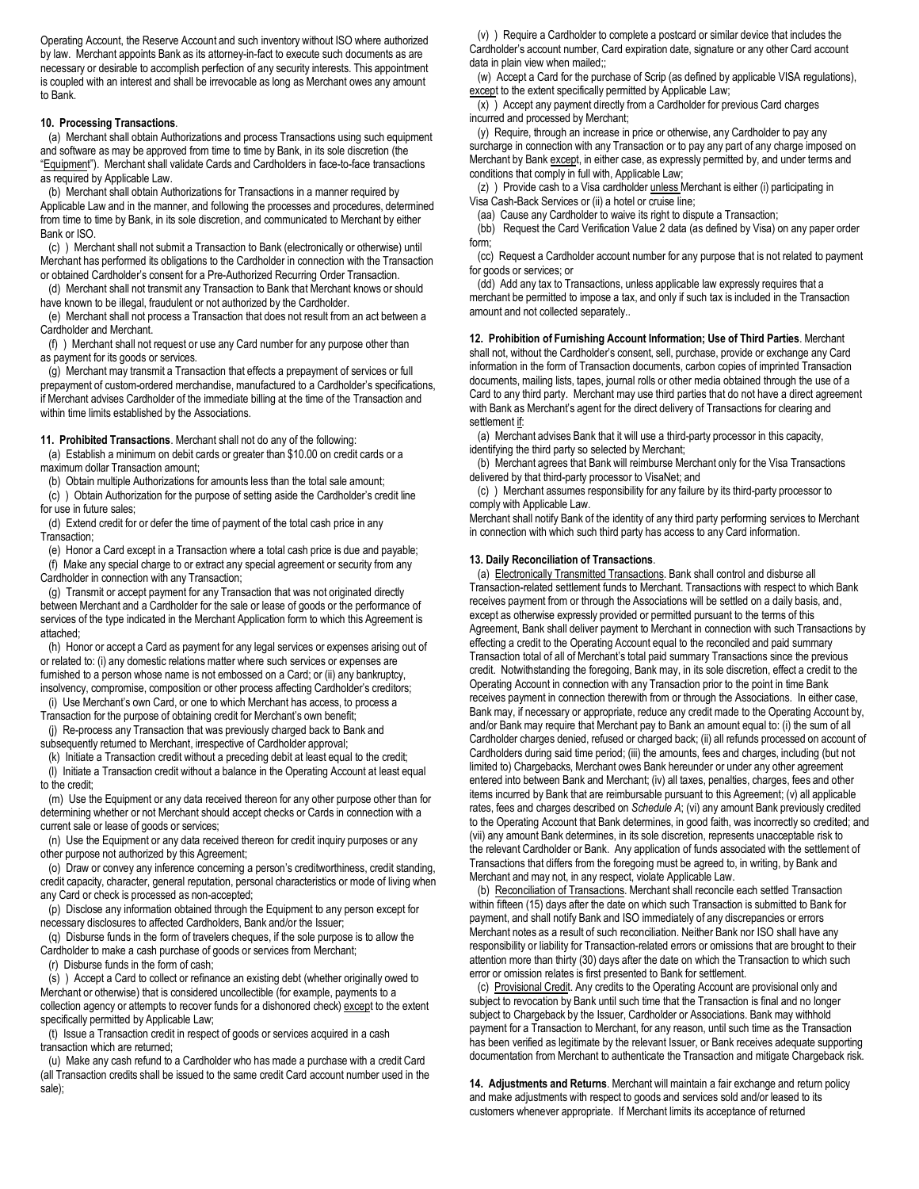Operating Account, the Reserve Account and such inventory without ISO where authorized by law. Merchant appoints Bank as its attorney-in-fact to execute such documents as are necessary or desirable to accomplish perfection of any security interests. This appointment is coupled with an interest and shall be irrevocable as long as Merchant owes any amount to Bank.

#### **10. Processing Transactions**.

(a) Merchant shall obtain Authorizations and process Transactions using such equipment and software as may be approved from time to time by Bank, in its sole discretion (the "Equipment"). Merchant shall validate Cards and Cardholders in face-to-face transactions as required by Applicable Law.

(b) Merchant shall obtain Authorizations for Transactions in a manner required by Applicable Law and in the manner, and following the processes and procedures, determined from time to time by Bank, in its sole discretion, and communicated to Merchant by either Bank or ISO.

(c) ) Merchant shall not submit a Transaction to Bank (electronically or otherwise) until Merchant has performed its obligations to the Cardholder in connection with the Transaction or obtained Cardholder's consent for a Pre-Authorized Recurring Order Transaction.

(d) Merchant shall not transmit any Transaction to Bank that Merchant knows or should have known to be illegal, fraudulent or not authorized by the Cardholder.

(e) Merchant shall not process a Transaction that does not result from an act between a Cardholder and Merchant.

(f) ) Merchant shall not request or use any Card number for any purpose other than as payment for its goods or services.

(g) Merchant may transmit a Transaction that effects a prepayment of services or full prepayment of custom-ordered merchandise, manufactured to a Cardholder's specifications, if Merchant advises Cardholder of the immediate billing at the time of the Transaction and within time limits established by the Associations.

#### **11. Prohibited Transactions**. Merchant shall not do any of the following:

(a) Establish a minimum on debit cards or greater than \$10.00 on credit cards or a maximum dollar Transaction amount;

(b) Obtain multiple Authorizations for amounts less than the total sale amount; (c) ) Obtain Authorization for the purpose of setting aside the Cardholder's credit line

for use in future sales; (d) Extend credit for or defer the time of payment of the total cash price in any

Transaction;

(e) Honor a Card except in a Transaction where a total cash price is due and payable; (f) Make any special charge to or extract any special agreement or security from any Cardholder in connection with any Transaction;

(g) Transmit or accept payment for any Transaction that was not originated directly between Merchant and a Cardholder for the sale or lease of goods or the performance of services of the type indicated in the Merchant Application form to which this Agreement is attached;

(h) Honor or accept a Card as payment for any legal services or expenses arising out of or related to: (i) any domestic relations matter where such services or expenses are furnished to a person whose name is not embossed on a Card; or (ii) any bankruptcy. insolvency, compromise, composition or other process affecting Cardholder's creditors;

(i) Use Merchant's own Card, or one to which Merchant has access, to process a Transaction for the purpose of obtaining credit for Merchant's own benefit;

(j) Re-process any Transaction that was previously charged back to Bank and subsequently returned to Merchant, irrespective of Cardholder approval;

(k) Initiate a Transaction credit without a preceding debit at least equal to the credit; (l) Initiate a Transaction credit without a balance in the Operating Account at least equal to the credit;

(m) Use the Equipment or any data received thereon for any other purpose other than for determining whether or not Merchant should accept checks or Cards in connection with a current sale or lease of goods or services;

(n) Use the Equipment or any data received thereon for credit inquiry purposes or any other purpose not authorized by this Agreement;

(o) Draw or convey any inference concerning a person's creditworthiness, credit standing, credit capacity, character, general reputation, personal characteristics or mode of living when any Card or check is processed as non-accepted;

(p) Disclose any information obtained through the Equipment to any person except for necessary disclosures to affected Cardholders, Bank and/or the Issuer;

(q) Disburse funds in the form of travelers cheques, if the sole purpose is to allow the Cardholder to make a cash purchase of goods or services from Merchant;

(r) Disburse funds in the form of cash;

(s) ) Accept a Card to collect or refinance an existing debt (whether originally owed to Merchant or otherwise) that is considered uncollectible (for example, payments to a collection agency or attempts to recover funds for a dishonored check) except to the extent specifically permitted by Applicable Law;

(t) Issue a Transaction credit in respect of goods or services acquired in a cash transaction which are returned;

(u) Make any cash refund to a Cardholder who has made a purchase with a credit Card (all Transaction credits shall be issued to the same credit Card account number used in the sale);

(v) ) Require a Cardholder to complete a postcard or similar device that includes the Cardholder's account number, Card expiration date, signature or any other Card account data in plain view when mailed;;

(w) Accept a Card for the purchase of Scrip (as defined by applicable VISA regulations), except to the extent specifically permitted by Applicable Law;

(x) ) Accept any payment directly from a Cardholder for previous Card charges incurred and processed by Merchant;

(y) Require, through an increase in price or otherwise, any Cardholder to pay any surcharge in connection with any Transaction or to pay any part of any charge imposed on Merchant by Bank except, in either case, as expressly permitted by, and under terms and conditions that comply in full with, Applicable Law;

(z) ) Provide cash to a Visa cardholder unless Merchant is either (i) participating in Visa Cash-Back Services or (ii) a hotel or cruise line;

(aa) Cause any Cardholder to waive its right to dispute a Transaction;

(bb) Request the Card Verification Value 2 data (as defined by Visa) on any paper order form;

(cc) Request a Cardholder account number for any purpose that is not related to payment for goods or services; or

(dd) Add any tax to Transactions, unless applicable law expressly requires that a merchant be permitted to impose a tax, and only if such tax is included in the Transaction amount and not collected separately..

**12. Prohibition of Furnishing Account Information; Use of Third Parties**. Merchant

shall not, without the Cardholder's consent, sell, purchase, provide or exchange any Card information in the form of Transaction documents, carbon copies of imprinted Transaction documents, mailing lists, tapes, journal rolls or other media obtained through the use of a Card to any third party. Merchant may use third parties that do not have a direct agreement with Bank as Merchant's agent for the direct delivery of Transactions for clearing and settlement if:

(a) Merchant advises Bank that it will use a third-party processor in this capacity, identifying the third party so selected by Merchant;

(b) Merchant agrees that Bank will reimburse Merchant only for the Visa Transactions delivered by that third-party processor to VisaNet; and

(c) ) Merchant assumes responsibility for any failure by its third-party processor to comply with Applicable Law.

Merchant shall notify Bank of the identity of any third party performing services to Merchant in connection with which such third party has access to any Card information.

### **13. Daily Reconciliation of Transactions**.

(a) Electronically Transmitted Transactions. Bank shall control and disburse all Transaction-related settlement funds to Merchant. Transactions with respect to which Bank receives payment from or through the Associations will be settled on a daily basis, and, except as otherwise expressly provided or permitted pursuant to the terms of this Agreement, Bank shall deliver payment to Merchant in connection with such Transactions by effecting a credit to the Operating Account equal to the reconciled and paid summary Transaction total of all of Merchant's total paid summary Transactions since the previous credit. Notwithstanding the foregoing, Bank may, in its sole discretion, effect a credit to the Operating Account in connection with any Transaction prior to the point in time Bank receives payment in connection therewith from or through the Associations. In either case, Bank may, if necessary or appropriate, reduce any credit made to the Operating Account by, and/or Bank may require that Merchant pay to Bank an amount equal to: (i) the sum of all Cardholder charges denied, refused or charged back; (ii) all refunds processed on account of Cardholders during said time period; (iii) the amounts, fees and charges, including (but not limited to) Chargebacks, Merchant owes Bank hereunder or under any other agreement entered into between Bank and Merchant; (iv) all taxes, penalties, charges, fees and other items incurred by Bank that are reimbursable pursuant to this Agreement; (v) all applicable rates, fees and charges described on *Schedule A*; (vi) any amount Bank previously credited to the Operating Account that Bank determines, in good faith, was incorrectly so credited; and (vii) any amount Bank determines, in its sole discretion, represents unacceptable risk to the relevant Cardholder or Bank. Any application of funds associated with the settlement of Transactions that differs from the foregoing must be agreed to, in writing, by Bank and Merchant and may not, in any respect, violate Applicable Law.

(b) Reconciliation of Transactions. Merchant shall reconcile each settled Transaction within fifteen (15) days after the date on which such Transaction is submitted to Bank for payment, and shall notify Bank and ISO immediately of any discrepancies or errors Merchant notes as a result of such reconciliation. Neither Bank nor ISO shall have any responsibility or liability for Transaction-related errors or omissions that are brought to their attention more than thirty (30) days after the date on which the Transaction to which such error or omission relates is first presented to Bank for settlement.

(c) Provisional Credit. Any credits to the Operating Account are provisional only and subject to revocation by Bank until such time that the Transaction is final and no longer subject to Chargeback by the Issuer, Cardholder or Associations. Bank may withhold payment for a Transaction to Merchant, for any reason, until such time as the Transaction has been verified as legitimate by the relevant Issuer, or Bank receives adequate supporting documentation from Merchant to authenticate the Transaction and mitigate Chargeback risk.

**14. Adjustments and Returns**. Merchant will maintain a fair exchange and return policy and make adjustments with respect to goods and services sold and/or leased to its customers whenever appropriate. If Merchant limits its acceptance of returned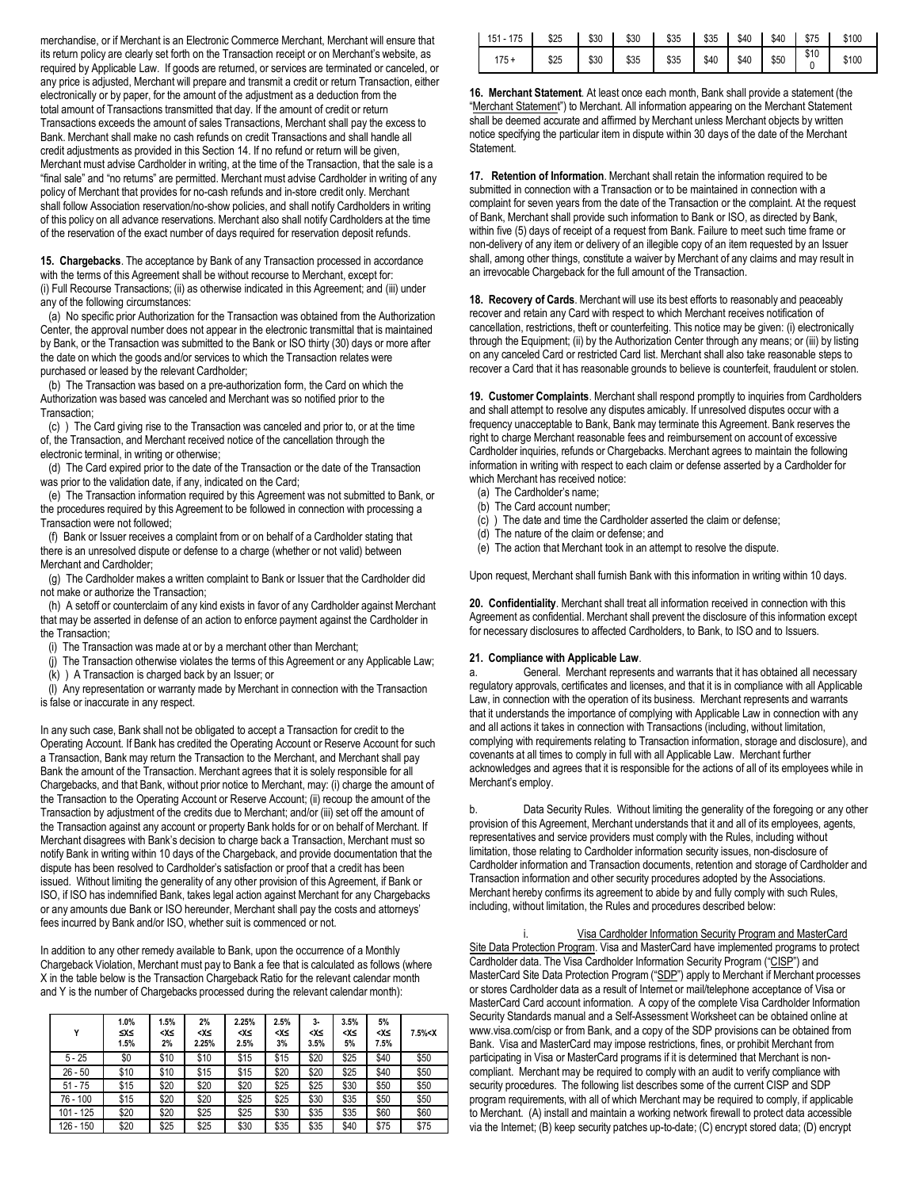merchandise, or if Merchant is an Electronic Commerce Merchant, Merchant will ensure that its return policy are clearly set forth on the Transaction receipt or on Merchant's website, as required by Applicable Law. If goods are returned, or services are terminated or canceled, or any price is adjusted, Merchant will prepare and transmit a credit or return Transaction, either electronically or by paper, for the amount of the adjustment as a deduction from the total amount of Transactions transmitted that day. If the amount of credit or return Transactions exceeds the amount of sales Transactions, Merchant shall pay the excess to Bank. Merchant shall make no cash refunds on credit Transactions and shall handle all credit adjustments as provided in this Section 14. If no refund or return will be given, Merchant must advise Cardholder in writing, at the time of the Transaction, that the sale is a "final sale" and "no returns" are permitted. Merchant must advise Cardholder in writing of any policy of Merchant that provides for no-cash refunds and in-store credit only. Merchant shall follow Association reservation/no-show policies, and shall notify Cardholders in writing of this policy on all advance reservations. Merchant also shall notify Cardholders at the time of the reservation of the exact number of days required for reservation deposit refunds.

**15. Chargebacks**. The acceptance by Bank of any Transaction processed in accordance with the terms of this Agreement shall be without recourse to Merchant, except for: (i) Full Recourse Transactions; (ii) as otherwise indicated in this Agreement; and (iii) under any of the following circumstances:

(a) No specific prior Authorization for the Transaction was obtained from the Authorization Center, the approval number does not appear in the electronic transmittal that is maintained by Bank, or the Transaction was submitted to the Bank or ISO thirty (30) days or more after the date on which the goods and/or services to which the Transaction relates were purchased or leased by the relevant Cardholder;

(b) The Transaction was based on a pre-authorization form, the Card on which the Authorization was based was canceled and Merchant was so notified prior to the Transaction;

(c) ) The Card giving rise to the Transaction was canceled and prior to, or at the time of, the Transaction, and Merchant received notice of the cancellation through the electronic terminal, in writing or otherwise;

(d) The Card expired prior to the date of the Transaction or the date of the Transaction was prior to the validation date, if any, indicated on the Card;

(e) The Transaction information required by this Agreement was not submitted to Bank, or the procedures required by this Agreement to be followed in connection with processing a Transaction were not followed;

(f) Bank or Issuer receives a complaint from or on behalf of a Cardholder stating that there is an unresolved dispute or defense to a charge (whether or not valid) between Merchant and Cardholder;

(g) The Cardholder makes a written complaint to Bank or Issuer that the Cardholder did not make or authorize the Transaction;

(h) A setoff or counterclaim of any kind exists in favor of any Cardholder against Merchant that may be asserted in defense of an action to enforce payment against the Cardholder in the Transaction;

(i) The Transaction was made at or by a merchant other than Merchant;

(j) The Transaction otherwise violates the terms of this Agreement or any Applicable Law;

 $(k)$ ) A Transaction is charged back by an Issuer; or

(l) Any representation or warranty made by Merchant in connection with the Transaction is false or inaccurate in any respect.

In any such case, Bank shall not be obligated to accept a Transaction for credit to the Operating Account. If Bank has credited the Operating Account or Reserve Account for such a Transaction, Bank may return the Transaction to the Merchant, and Merchant shall pay Bank the amount of the Transaction. Merchant agrees that it is solely responsible for all Chargebacks, and that Bank, without prior notice to Merchant, may: (i) charge the amount of the Transaction to the Operating Account or Reserve Account; (ii) recoup the amount of the Transaction by adjustment of the credits due to Merchant; and/or (iii) set off the amount of the Transaction against any account or property Bank holds for or on behalf of Merchant. If Merchant disagrees with Bank's decision to charge back a Transaction, Merchant must so notify Bank in writing within 10 days of the Chargeback, and provide documentation that the dispute has been resolved to Cardholder's satisfaction or proof that a credit has been issued. Without limiting the generality of any other provision of this Agreement, if Bank or ISO, if ISO has indemnified Bank, takes legal action against Merchant for any Chargebacks or any amounts due Bank or ISO hereunder, Merchant shall pay the costs and attorneys' fees incurred by Bank and/or ISO, whether suit is commenced or not.

In addition to any other remedy available to Bank, upon the occurrence of a Monthly Chargeback Violation, Merchant must pay to Bank a fee that is calculated as follows (where X in the table below is the Transaction Chargeback Ratio for the relevant calendar month and Y is the number of Chargebacks processed during the relevant calendar month):

| Y         | 1.0%<br>≤X≤<br>1.5% | 1.5%<br>≥∢><br>2% | 2%<br>≥∢><br>2.25% | 2.25%<br>≺Х≤<br>2.5% | 2.5%<br>≥∢><br>3% | $3-$<br>≺X≤<br>3.5% | 3.5%<br>≥∢><br>5% | 5%<br>≥∢><br>7.5% | 7.5% < X |
|-----------|---------------------|-------------------|--------------------|----------------------|-------------------|---------------------|-------------------|-------------------|----------|
| $5 - 25$  | \$0                 | \$10              | \$10               | \$15                 | \$15              | \$20                | \$25              | \$40              | \$50     |
| $26 - 50$ | \$10                | \$10              | \$15               | \$15                 | \$20              | \$20                | \$25              | \$40              | \$50     |
| $51 - 75$ | \$15                | \$20              | \$20               | \$20                 | \$25              | \$25                | \$30              | \$50              | \$50     |
| 76 - 100  | \$15                | \$20              | \$20               | \$25                 | \$25              | \$30                | \$35              | \$50              | \$50     |
| 101 - 125 | \$20                | \$20              | \$25               | \$25                 | \$30              | \$35                | \$35              | \$60              | \$60     |
| 126 - 150 | \$20                | \$25              | \$25               | \$30                 | \$35              | \$35                | \$40              | \$75              | \$75     |

| 151 - 175   \$25   \$30   \$30   \$35   \$35   \$40   \$40   \$75   \$100 |                                                                                                                                            |  |  |  |  |
|---------------------------------------------------------------------------|--------------------------------------------------------------------------------------------------------------------------------------------|--|--|--|--|
|                                                                           | 175 + $\begin{array}{ c c c c c c c c } \hline \text{ }$525 & $330 & $335 & $335 & $40 & $40 & $50 & $0 & $0 & $100 \\ \hline \end{array}$ |  |  |  |  |

**16. Merchant Statement**. At least once each month, Bank shall provide a statement (the "Merchant Statement") to Merchant. All information appearing on the Merchant Statement shall be deemed accurate and affirmed by Merchant unless Merchant objects by written notice specifying the particular item in dispute within 30 days of the date of the Merchant **Statement** 

**17. Retention of Information**. Merchant shall retain the information required to be submitted in connection with a Transaction or to be maintained in connection with a complaint for seven years from the date of the Transaction or the complaint. At the request of Bank, Merchant shall provide such information to Bank or ISO, as directed by Bank, within five (5) days of receipt of a request from Bank. Failure to meet such time frame or non-delivery of any item or delivery of an illegible copy of an item requested by an Issuer shall, among other things, constitute a waiver by Merchant of any claims and may result in an irrevocable Chargeback for the full amount of the Transaction.

**18. Recovery of Cards**. Merchant will use its best efforts to reasonably and peaceably recover and retain any Card with respect to which Merchant receives notification of cancellation, restrictions, theft or counterfeiting. This notice may be given: (i) electronically through the Equipment; (ii) by the Authorization Center through any means; or (iii) by listing on any canceled Card or restricted Card list. Merchant shall also take reasonable steps to recover a Card that it has reasonable grounds to believe is counterfeit, fraudulent or stolen.

**19. Customer Complaints**. Merchant shall respond promptly to inquiries from Cardholders and shall attempt to resolve any disputes amicably. If unresolved disputes occur with a frequency unacceptable to Bank, Bank may terminate this Agreement. Bank reserves the right to charge Merchant reasonable fees and reimbursement on account of excessive Cardholder inquiries, refunds or Chargebacks. Merchant agrees to maintain the following information in writing with respect to each claim or defense asserted by a Cardholder for which Merchant has received notice:

- (a) The Cardholder's name;
- (b) The Card account number; (c) ) The date and time the Cardholder asserted the claim or defense;
- (d) The nature of the claim or defense; and
- (e) The action that Merchant took in an attempt to resolve the dispute.

Upon request, Merchant shall furnish Bank with this information in writing within 10 days.

**20. Confidentiality**. Merchant shall treat all information received in connection with this Agreement as confidential. Merchant shall prevent the disclosure of this information except for necessary disclosures to affected Cardholders, to Bank, to ISO and to Issuers.

### **21. Compliance with Applicable Law**.

a. General. Merchant represents and warrants that it has obtained all necessary regulatory approvals, certificates and licenses, and that it is in compliance with all Applicable Law, in connection with the operation of its business. Merchant represents and warrants that it understands the importance of complying with Applicable Law in connection with any and all actions it takes in connection with Transactions (including, without limitation, complying with requirements relating to Transaction information, storage and disclosure), and covenants at all times to comply in full with all Applicable Law. Merchant further acknowledges and agrees that it is responsible for the actions of all of its employees while in Merchant's employ.

b. Data Security Rules. Without limiting the generality of the foregoing or any other provision of this Agreement, Merchant understands that it and all of its employees, agents, representatives and service providers must comply with the Rules, including without limitation, those relating to Cardholder information security issues, non-disclosure of Cardholder information and Transaction documents, retention and storage of Cardholder and Transaction information and other security procedures adopted by the Associations. Merchant hereby confirms its agreement to abide by and fully comply with such Rules, including, without limitation, the Rules and procedures described below:

Visa Cardholder Information Security Program and MasterCard Site Data Protection Program. Visa and MasterCard have implemented programs to protect Cardholder data. The Visa Cardholder Information Security Program ("CISP") and MasterCard Site Data Protection Program ("SDP") apply to Merchant if Merchant processes or stores Cardholder data as a result of Internet or mail/telephone acceptance of Visa or MasterCard Card account information. A copy of the complete Visa Cardholder Information Security Standards manual and a Self-Assessment Worksheet can be obtained online [at](http://www.visa.com/cisp) [www.visa.com/cisp](http://www.visa.com/cisp) or from Bank, and a copy of the SDP provisions can be obtained from Bank. Visa and MasterCard may impose restrictions, fines, or prohibit Merchant from participating in Visa or MasterCard programs if it is determined that Merchant is noncompliant. Merchant may be required to comply with an audit to verify compliance with security procedures. The following list describes some of the current CISP and SDP program requirements, with all of which Merchant may be required to comply, if applicable to Merchant. (A) install and maintain a working network firewall to protect data accessible via the Internet; (B) keep security patches up-to-date; (C) encrypt stored data; (D) encrypt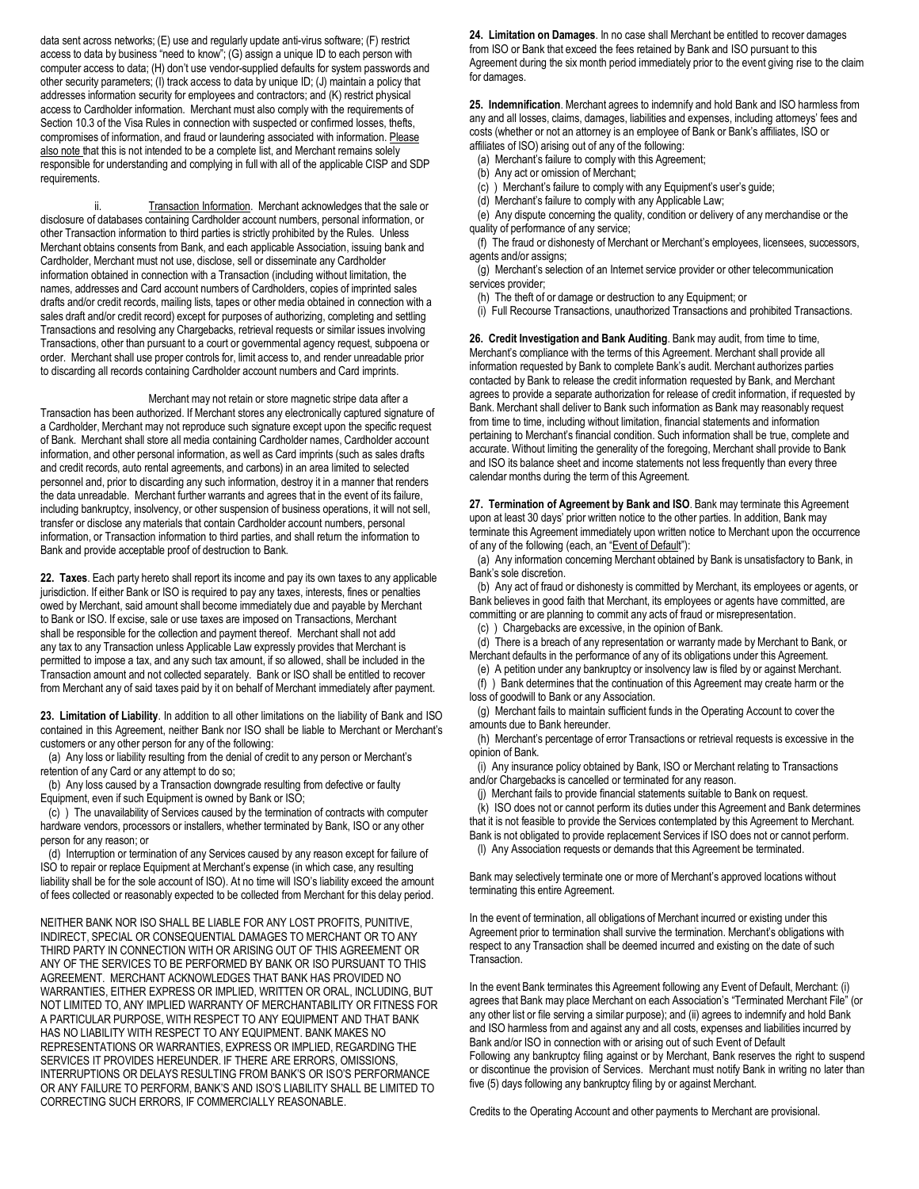data sent across networks; (E) use and regularly update anti-virus software; (F) restrict access to data by business "need to know"; (G) assign a unique ID to each person with computer access to data; (H) don't use vendor-supplied defaults for system passwords and other security parameters; (I) track access to data by unique ID; (J) maintain a policy that addresses information security for employees and contractors; and (K) restrict physical access to Cardholder information. Merchant must also comply with the requirements of Section 10.3 of the Visa Rules in connection with suspected or confirmed losses, thefts, compromises of information, and fraud or laundering associated with information. Please also note that this is not intended to be a complete list, and Merchant remains solely responsible for understanding and complying in full with all of the applicable CISP and SDP requirements.

ii. Transaction Information. Merchant acknowledges that the sale or disclosure of databases containing Cardholder account numbers, personal information, or other Transaction information to third parties is strictly prohibited by the Rules. Unless Merchant obtains consents from Bank, and each applicable Association, issuing bank and Cardholder, Merchant must not use, disclose, sell or disseminate any Cardholder information obtained in connection with a Transaction (including without limitation, the names, addresses and Card account numbers of Cardholders, copies of imprinted sales drafts and/or credit records, mailing lists, tapes or other media obtained in connection with a sales draft and/or credit record) except for purposes of authorizing, completing and settling Transactions and resolving any Chargebacks, retrieval requests or similar issues involving Transactions, other than pursuant to a court or governmental agency request, subpoena or order. Merchant shall use proper controls for, limit access to, and render unreadable prior to discarding all records containing Cardholder account numbers and Card imprints.

Merchant may not retain or store magnetic stripe data after a Transaction has been authorized. If Merchant stores any electronically captured signature of a Cardholder, Merchant may not reproduce such signature except upon the specific request of Bank. Merchant shall store all media containing Cardholder names, Cardholder account information, and other personal information, as well as Card imprints (such as sales drafts and credit records, auto rental agreements, and carbons) in an area limited to selected personnel and, prior to discarding any such information, destroy it in a manner that renders the data unreadable. Merchant further warrants and agrees that in the event of its failure, including bankruptcy, insolvency, or other suspension of business operations, it will not sell, transfer or disclose any materials that contain Cardholder account numbers, personal information, or Transaction information to third parties, and shall return the information to Bank and provide acceptable proof of destruction to Bank.

**22. Taxes**. Each party hereto shall report its income and pay its own taxes to any applicable jurisdiction. If either Bank or ISO is required to pay any taxes, interests, fines or penalties owed by Merchant, said amount shall become immediately due and payable by Merchant to Bank or ISO. If excise, sale or use taxes are imposed on Transactions, Merchant shall be responsible for the collection and payment thereof. Merchant shall not add any tax to any Transaction unless Applicable Law expressly provides that Merchant is permitted to impose a tax, and any such tax amount, if so allowed, shall be included in the Transaction amount and not collected separately. Bank or ISO shall be entitled to recover from Merchant any of said taxes paid by it on behalf of Merchant immediately after payment.

**23. Limitation of Liability**. In addition to all other limitations on the liability of Bank and ISO contained in this Agreement, neither Bank nor ISO shall be liable to Merchant or Merchant's customers or any other person for any of the following:

(a) Any loss or liability resulting from the denial of credit to any person or Merchant's retention of any Card or any attempt to do so;

(b) Any loss caused by a Transaction downgrade resulting from defective or faulty Equipment, even if such Equipment is owned by Bank or ISO;

(c) ) The unavailability of Services caused by the termination of contracts with computer hardware vendors, processors or installers, whether terminated by Bank, ISO or any other person for any reason; or

(d) Interruption or termination of any Services caused by any reason except for failure of ISO to repair or replace Equipment at Merchant's expense (in which case, any resulting liability shall be for the sole account of ISO). At no time will ISO's liability exceed the amount of fees collected or reasonably expected to be collected from Merchant for this delay period.

NEITHER BANK NOR ISO SHALL BE LIABLE FOR ANY LOST PROFITS, PUNITIVE, INDIRECT, SPECIAL OR CONSEQUENTIAL DAMAGES TO MERCHANT OR TO ANY THIRD PARTY IN CONNECTION WITH OR ARISING OUT OF THIS AGREEMENT OR ANY OF THE SERVICES TO BE PERFORMED BY BANK OR ISO PURSUANT TO THIS AGREEMENT. MERCHANT ACKNOWLEDGES THAT BANK HAS PROVIDED NO WARRANTIES, EITHER EXPRESS OR IMPLIED, WRITTEN OR ORAL, INCLUDING, BUT NOT LIMITED TO, ANY IMPLIED WARRANTY OF MERCHANTABILITY OR FITNESS FOR A PARTICULAR PURPOSE, WITH RESPECT TO ANY EQUIPMENT AND THAT BANK HAS NO LIABILITY WITH RESPECT TO ANY EQUIPMENT. BANK MAKES NO REPRESENTATIONS OR WARRANTIES, EXPRESS OR IMPLIED, REGARDING THE SERVICES IT PROVIDES HEREUNDER. IF THERE ARE ERRORS, OMISSIONS, INTERRUPTIONS OR DELAYS RESULTING FROM BANK'S OR ISO'S PERFORMANCE OR ANY FAILURE TO PERFORM, BANK'S AND ISO'S LIABILITY SHALL BE LIMITED TO CORRECTING SUCH ERRORS, IF COMMERCIALLY REASONABLE.

**24. Limitation on Damages**. In no case shall Merchant be entitled to recover damages from ISO or Bank that exceed the fees retained by Bank and ISO pursuant to this Agreement during the six month period immediately prior to the event giving rise to the claim for damages.

**25. Indemnification**. Merchant agrees to indemnify and hold Bank and ISO harmless from any and all losses, claims, damages, liabilities and expenses, including attorneys' fees and costs (whether or not an attorney is an employee of Bank or Bank's affiliates, ISO or affiliates of ISO) arising out of any of the following:

(a) Merchant's failure to comply with this Agreement;

(b) Any act or omission of Merchant;

(c) ) Merchant's failure to comply with any Equipment's user's guide;

(d) Merchant's failure to comply with any Applicable Law;

(e) Any dispute concerning the quality, condition or delivery of any merchandise or the quality of performance of any service;

(f) The fraud or dishonesty of Merchant or Merchant's employees, licensees, successors, agents and/or assigns;

(g) Merchant's selection of an Internet service provider or other telecommunication services provider;

(h) The theft of or damage or destruction to any Equipment; or

(i) Full Recourse Transactions, unauthorized Transactions and prohibited Transactions.

**26. Credit Investigation and Bank Auditing**. Bank may audit, from time to time, Merchant's compliance with the terms of this Agreement. Merchant shall provide all information requested by Bank to complete Bank's audit. Merchant authorizes parties contacted by Bank to release the credit information requested by Bank, and Merchant agrees to provide a separate authorization for release of credit information, if requested by Bank. Merchant shall deliver to Bank such information as Bank may reasonably request from time to time, including without limitation, financial statements and information pertaining to Merchant's financial condition. Such information shall be true, complete and accurate. Without limiting the generality of the foregoing, Merchant shall provide to Bank and ISO its balance sheet and income statements not less frequently than every three calendar months during the term of this Agreement.

**27. Termination of Agreement by Bank and ISO**. Bank may terminate this Agreement upon at least 30 days' prior written notice to the other parties. In addition, Bank may terminate this Agreement immediately upon written notice to Merchant upon the occurrence of any of the following (each, an "Event of Default"):

(a) Any information concerning Merchant obtained by Bank is unsatisfactory to Bank, in Bank's sole discretion.

(b) Any act of fraud or dishonesty is committed by Merchant, its employees or agents, or Bank believes in good faith that Merchant, its employees or agents have committed, are committing or are planning to commit any acts of fraud or misrepresentation.

(c) ) Chargebacks are excessive, in the opinion of Bank.

(d) There is a breach of any representation or warranty made by Merchant to Bank, or Merchant defaults in the performance of any of its obligations under this Agreement.

(e) A petition under any bankruptcy or insolvency law is filed by or against Merchant. (f) ) Bank determines that the continuation of this Agreement may create harm or the loss of goodwill to Bank or any Association.

(g) Merchant fails to maintain sufficient funds in the Operating Account to cover the amounts due to Bank hereunder.

(h) Merchant's percentage of error Transactions or retrieval requests is excessive in the opinion of Bank.

(i) Any insurance policy obtained by Bank, ISO or Merchant relating to Transactions and/or Chargebacks is cancelled or terminated for any reason.

(j) Merchant fails to provide financial statements suitable to Bank on request.

(k) ISO does not or cannot perform its duties under this Agreement and Bank determines that it is not feasible to provide the Services contemplated by this Agreement to Merchant. Bank is not obligated to provide replacement Services if ISO does not or cannot perform. (l) Any Association requests or demands that this Agreement be terminated.

Bank may selectively terminate one or more of Merchant's approved locations without terminating this entire Agreement.

In the event of termination, all obligations of Merchant incurred or existing under this Agreement prior to termination shall survive the termination. Merchant's obligations with respect to any Transaction shall be deemed incurred and existing on the date of such Transaction.

In the event Bank terminates this Agreement following any Event of Default, Merchant: (i) agrees that Bank may place Merchant on each Association's "Terminated Merchant File" (or any other list or file serving a similar purpose); and (ii) agrees to indemnify and hold Bank and ISO harmless from and against any and all costs, expenses and liabilities incurred by Bank and/or ISO in connection with or arising out of such Event of Default Following any bankruptcy filing against or by Merchant, Bank reserves the right to suspend or discontinue the provision of Services. Merchant must notify Bank in writing no later than five (5) days following any bankruptcy filing by or against Merchant.

Credits to the Operating Account and other payments to Merchant are provisional.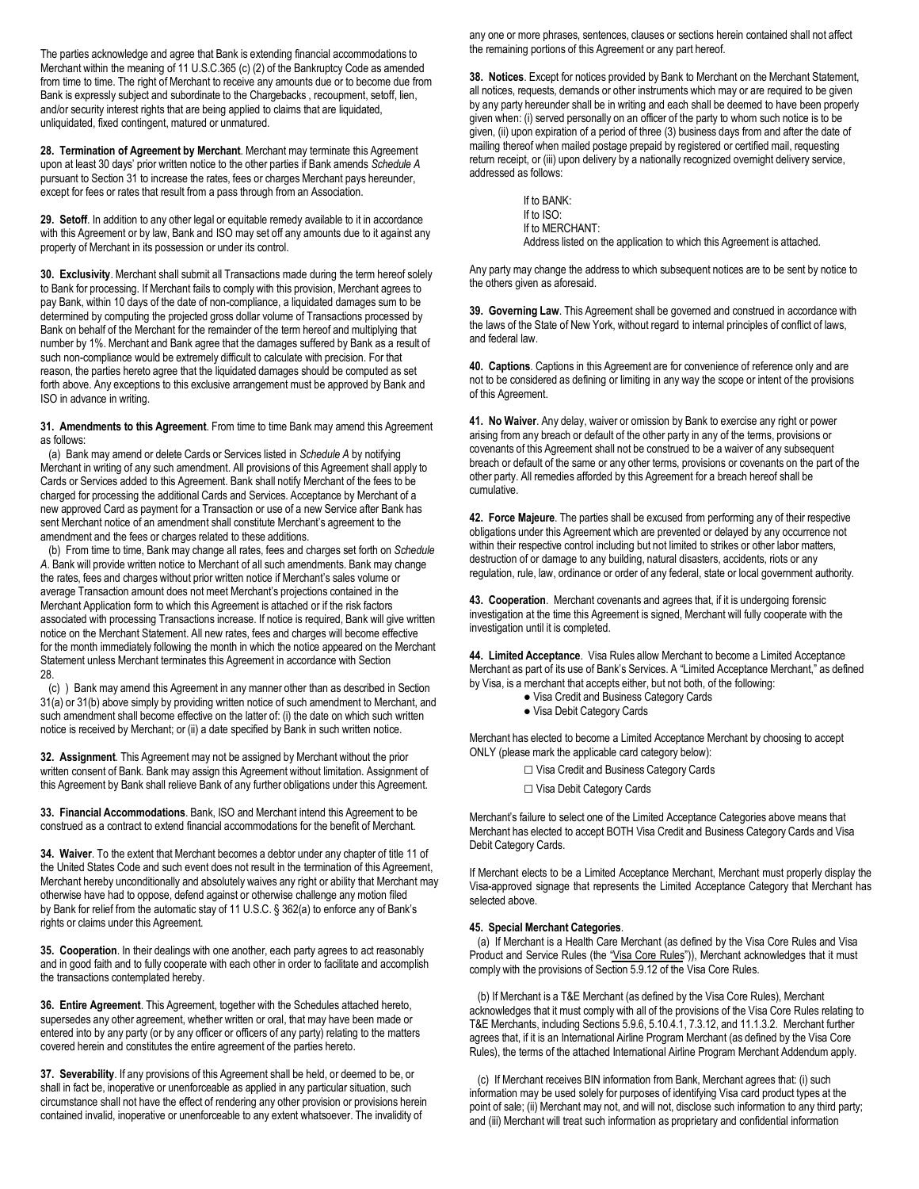The parties acknowledge and agree that Bank is extending financial accommodations to Merchant within the meaning of 11 U.S.C.365 (c) (2) of the Bankruptcy Code as amended from time to time. The right of Merchant to receive any amounts due or to become due from Bank is expressly subject and subordinate to the Chargebacks , recoupment, setoff, lien, and/or security interest rights that are being applied to claims that are liquidated, unliquidated, fixed contingent, matured or unmatured.

**28. Termination of Agreement by Merchant**. Merchant may terminate this Agreement upon at least 30 days' prior written notice to the other parties if Bank amends *Schedule A* pursuant to Section 31 to increase the rates, fees or charges Merchant pays hereunder, except for fees or rates that result from a pass through from an Association.

**29. Setoff**. In addition to any other legal or equitable remedy available to it in accordance with this Agreement or by law, Bank and ISO may set off any amounts due to it against any property of Merchant in its possession or under its control.

**30. Exclusivity**. Merchant shall submit all Transactions made during the term hereof solely to Bank for processing. If Merchant fails to comply with this provision, Merchant agrees to pay Bank, within 10 days of the date of non-compliance, a liquidated damages sum to be determined by computing the projected gross dollar volume of Transactions processed by Bank on behalf of the Merchant for the remainder of the term hereof and multiplying that number by 1%. Merchant and Bank agree that the damages suffered by Bank as a result of such non-compliance would be extremely difficult to calculate with precision. For that reason, the parties hereto agree that the liquidated damages should be computed as set forth above. Any exceptions to this exclusive arrangement must be approved by Bank and ISO in advance in writing.

**31. Amendments to this Agreement**. From time to time Bank may amend this Agreement as follows:

(a) Bank may amend or delete Cards or Services listed in *Schedule A* by notifying Merchant in writing of any such amendment. All provisions of this Agreement shall apply to Cards or Services added to this Agreement. Bank shall notify Merchant of the fees to be charged for processing the additional Cards and Services. Acceptance by Merchant of a new approved Card as payment for a Transaction or use of a new Service after Bank has sent Merchant notice of an amendment shall constitute Merchant's agreement to the amendment and the fees or charges related to these additions.

(b) From time to time, Bank may change all rates, fees and charges set forth on *Schedule A*. Bank will provide written notice to Merchant of all such amendments. Bank may change the rates, fees and charges without prior written notice if Merchant's sales volume or average Transaction amount does not meet Merchant's projections contained in the Merchant Application form to which this Agreement is attached or if the risk factors associated with processing Transactions increase. If notice is required, Bank will give written notice on the Merchant Statement. All new rates, fees and charges will become effective for the month immediately following the month in which the notice appeared on the Merchant Statement unless Merchant terminates this Agreement in accordance with Section 28.

(c) ) Bank may amend this Agreement in any manner other than as described in Section 31(a) or 31(b) above simply by providing written notice of such amendment to Merchant, and such amendment shall become effective on the latter of: (i) the date on which such written notice is received by Merchant; or (ii) a date specified by Bank in such written notice.

**32. Assignment**. This Agreement may not be assigned by Merchant without the prior written consent of Bank*.* Bank may assign this Agreement without limitation. Assignment of this Agreement by Bank shall relieve Bank of any further obligations under this Agreement.

**33. Financial Accommodations**. Bank, ISO and Merchant intend this Agreement to be construed as a contract to extend financial accommodations for the benefit of Merchant.

**34. Waiver**. To the extent that Merchant becomes a debtor under any chapter of title 11 of the United States Code and such event does not result in the termination of this Agreement, Merchant hereby unconditionally and absolutely waives any right or ability that Merchant may otherwise have had to oppose, defend against or otherwise challenge any motion filed by Bank for relief from the automatic stay of 11 U.S.C. § 362(a) to enforce any of Bank's rights or claims under this Agreement.

**35. Cooperation**. In their dealings with one another, each party agrees to act reasonably and in good faith and to fully cooperate with each other in order to facilitate and accomplish the transactions contemplated hereby.

**36. Entire Agreement**. This Agreement, together with the Schedules attached hereto, supersedes any other agreement, whether written or oral, that may have been made or entered into by any party (or by any officer or officers of any party) relating to the matters covered herein and constitutes the entire agreement of the parties hereto.

**37. Severability**. If any provisions of this Agreement shall be held, or deemed to be, or shall in fact be, inoperative or unenforceable as applied in any particular situation, such circumstance shall not have the effect of rendering any other provision or provisions herein contained invalid, inoperative or unenforceable to any extent whatsoever. The invalidity of

any one or more phrases, sentences, clauses or sections herein contained shall not affect the remaining portions of this Agreement or any part hereof.

**38. Notices**. Except for notices provided by Bank to Merchant on the Merchant Statement, all notices, requests, demands or other instruments which may or are required to be given by any party hereunder shall be in writing and each shall be deemed to have been properly given when: (i) served personally on an officer of the party to whom such notice is to be given, (ii) upon expiration of a period of three (3) business days from and after the date of mailing thereof when mailed postage prepaid by registered or certified mail, requesting return receipt, or (iii) upon delivery by a nationally recognized overnight delivery service, addressed as follows:

> If to BANK: If to ISO: If to MERCHANT: Address listed on the application to which this Agreement is attached.

Any party may change the address to which subsequent notices are to be sent by notice to the others given as aforesaid.

**39. Governing Law**. This Agreement shall be governed and construed in accordance with the laws of the State of New York, without regard to internal principles of conflict of laws, and federal law.

**40. Captions**. Captions in this Agreement are for convenience of reference only and are not to be considered as defining or limiting in any way the scope or intent of the provisions of this Agreement.

**41. No Waiver**. Any delay, waiver or omission by Bank to exercise any right or power arising from any breach or default of the other party in any of the terms, provisions or covenants of this Agreement shall not be construed to be a waiver of any subsequent breach or default of the same or any other terms, provisions or covenants on the part of the other party. All remedies afforded by this Agreement for a breach hereof shall be cumulative.

**42. Force Majeure**. The parties shall be excused from performing any of their respective obligations under this Agreement which are prevented or delayed by any occurrence not within their respective control including but not limited to strikes or other labor matters, destruction of or damage to any building, natural disasters, accidents, riots or any regulation, rule, law, ordinance or order of any federal, state or local government authority.

**43. Cooperation**. Merchant covenants and agrees that, if it is undergoing forensic investigation at the time this Agreement is signed, Merchant will fully cooperate with the investigation until it is completed.

**44. Limited Acceptance**. Visa Rules allow Merchant to become a Limited Acceptance Merchant as part of its use of Bank's Services. A "Limited Acceptance Merchant," as defined by Visa, is a merchant that accepts either, but not both, of the following:

- Visa Credit and Business Category Cards
- Visa Debit Category Cards

Merchant has elected to become a Limited Acceptance Merchant by choosing to accept ONLY (please mark the applicable card category below):

- □ Visa Credit and Business Category Cards
- □ Visa Debit Category Cards

Merchant's failure to select one of the Limited Acceptance Categories above means that Merchant has elected to accept BOTH Visa Credit and Business Category Cards and Visa Debit Category Cards.

If Merchant elects to be a Limited Acceptance Merchant, Merchant must properly display the Visa-approved signage that represents the Limited Acceptance Category that Merchant has selected above.

### **45. Special Merchant Categories**.

(a) If Merchant is a Health Care Merchant (as defined by the Visa Core Rules and Visa Product and Service Rules (the "Visa Core Rules")), Merchant acknowledges that it must comply with the provisions of Section 5.9.12 of the Visa Core Rules.

(b) If Merchant is a T&E Merchant (as defined by the Visa Core Rules), Merchant acknowledges that it must comply with all of the provisions of the Visa Core Rules relating to T&E Merchants, including Sections 5.9.6, 5.10.4.1, 7.3.12, and 11.1.3.2. Merchant further agrees that, if it is an International Airline Program Merchant (as defined by the Visa Core Rules), the terms of the attached International Airline Program Merchant Addendum apply.

(c) If Merchant receives BIN information from Bank, Merchant agrees that: (i) such information may be used solely for purposes of identifying Visa card product types at the point of sale; (ii) Merchant may not, and will not, disclose such information to any third party; and (iii) Merchant will treat such information as proprietary and confidential information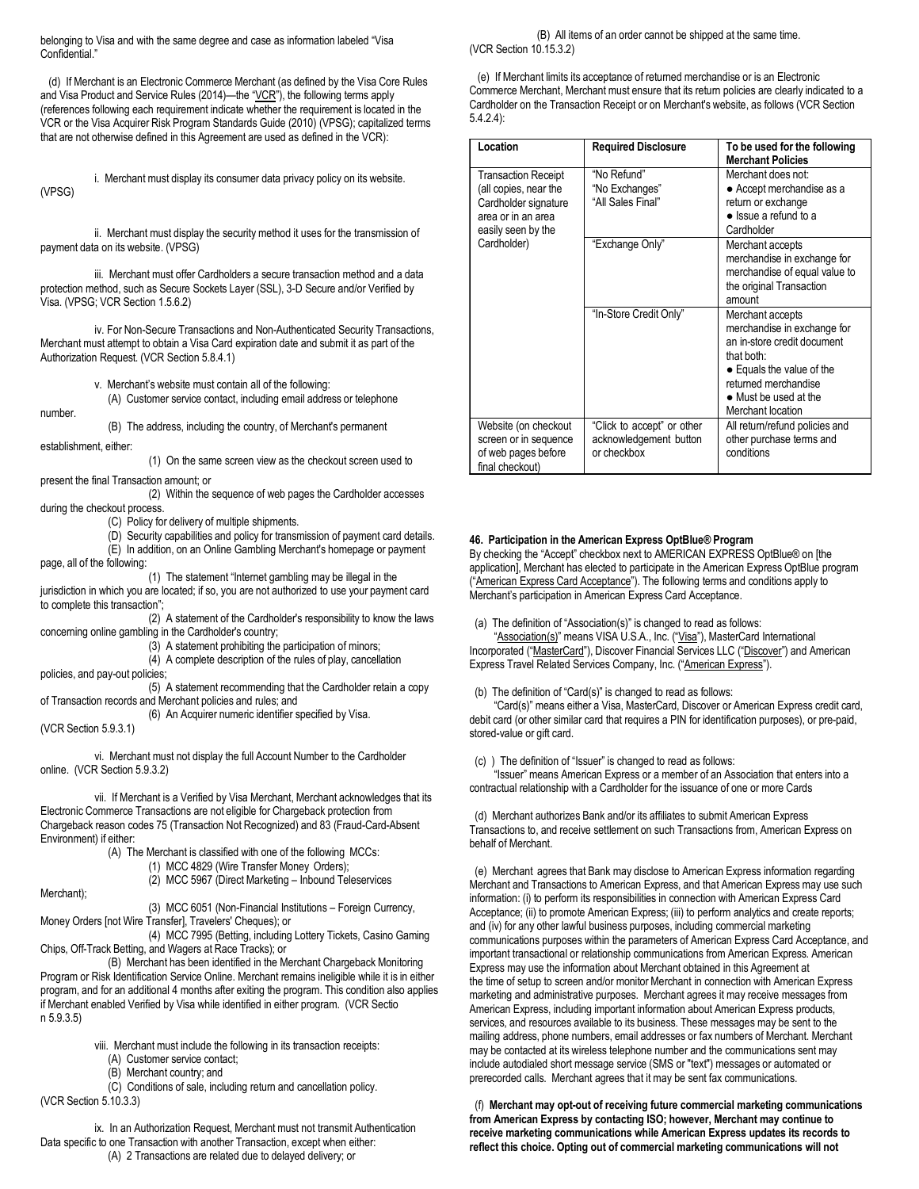belonging to Visa and with the same degree and case as information labeled "Visa Confidential."

(d) If Merchant is an Electronic Commerce Merchant (as defined by the Visa Core Rules and Visa Product and Service Rules (2014)—the "VCR"), the following terms apply (references following each requirement indicate whether the requirement is located in the VCR or the Visa Acquirer Risk Program Standards Guide (2010) (VPSG); capitalized terms that are not otherwise defined in this Agreement are used as defined in the VCR):

(VPSG) i. Merchant must display its consumer data privacy policy on its website.

ii. Merchant must display the security method it uses for the transmission of payment data on its website. (VPSG)

iii. Merchant must offer Cardholders a secure transaction method and a data protection method, such as Secure Sockets Layer (SSL), 3-D Secure and/or Verified by Visa. (VPSG; VCR Section 1.5.6.2)

iv. For Non-Secure Transactions and Non-Authenticated Security Transactions, Merchant must attempt to obtain a Visa Card expiration date and submit it as part of the Authorization Request. (VCR Section 5.8.4.1)

v. Merchant's website must contain all of the following:

(A) Customer service contact, including email address or telephone

(B) The address, including the country, of Merchant's permanent

establishment, either:

number.

(1) On the same screen view as the checkout screen used to present the final Transaction amount; or

(2) Within the sequence of web pages the Cardholder accesses during the checkout process.

(C) Policy for delivery of multiple shipments.

(D) Security capabilities and policy for transmission of payment card details. (E) In addition, on an Online Gambling Merchant's homepage or payment

page, all of the following:

(1) The statement "Internet gambling may be illegal in the jurisdiction in which you are located; if so, you are not authorized to use your payment card to complete this transaction";

(2) A statement of the Cardholder's responsibility to know the laws concerning online gambling in the Cardholder's country;

(3) A statement prohibiting the participation of minors;

(4) A complete description of the rules of play, cancellation

policies, and pay-out policies; (5) A statement recommending that the Cardholder retain a copy of Transaction records and Merchant policies and rules; and

(6) An Acquirer numeric identifier specified by Visa.

(VCR Section 5.9.3.1)

vi. Merchant must not display the full Account Number to the Cardholder online. (VCR Section 5.9.3.2)

vii. If Merchant is a Verified by Visa Merchant, Merchant acknowledges that its Electronic Commerce Transactions are not eligible for Chargeback protection from Chargeback reason codes 75 (Transaction Not Recognized) and 83 (Fraud-Card-Absent Environment) if either:

(A) The Merchant is classified with one of the following MCCs:

(1) MCC 4829 (Wire Transfer Money Orders);

(2) MCC 5967 (Direct Marketing – Inbound Teleservices

Merchant);

(3) MCC 6051 (Non-Financial Institutions – Foreign Currency, Money Orders [not Wire Transfer], Travelers' Cheques); or

(4) MCC 7995 (Betting, including Lottery Tickets, Casino Gaming Chips, Off-Track Betting, and Wagers at Race Tracks); or

(B) Merchant has been identified in the Merchant Chargeback Monitoring Program or Risk Identification Service Online. Merchant remains ineligible while it is in either program, and for an additional 4 months after exiting the program. This condition also applies if Merchant enabled Verified by Visa while identified in either program. (VCR Sectio n 5.9.3.5)

viii. Merchant must include the following in its transaction receipts:

(A) Customer service contact;

(B) Merchant country; and

(C) Conditions of sale, including return and cancellation policy. (VCR Section 5.10.3.3)

ix. In an Authorization Request, Merchant must not transmit Authentication Data specific to one Transaction with another Transaction, except when either: (A) 2 Transactions are related due to delayed delivery; or

(B) All items of an order cannot be shipped at the same time. (VCR Section 10.15.3.2)

(e) If Merchant limits its acceptance of returned merchandise or is an Electronic Commerce Merchant, Merchant must ensure that its return policies are clearly indicated to a Cardholder on the Transaction Receipt or on Merchant's website, as follows (VCR Section 5.4.2.4):

| Location                   |                            |                                |
|----------------------------|----------------------------|--------------------------------|
|                            | <b>Required Disclosure</b> | To be used for the following   |
|                            |                            | <b>Merchant Policies</b>       |
| <b>Transaction Receipt</b> | "No Refund"                | Merchant does not:             |
| (all copies, near the      | "No Exchanges"             | • Accept merchandise as a      |
| Cardholder signature       | "All Sales Final"          | return or exchange             |
| area or in an area         |                            | $\bullet$ Issue a refund to a  |
| easily seen by the         |                            | Cardholder                     |
| Cardholder)                | "Exchange Only"            | Merchant accepts               |
|                            |                            | merchandise in exchange for    |
|                            |                            | merchandise of equal value to  |
|                            |                            | the original Transaction       |
|                            |                            | amount                         |
|                            | "In-Store Credit Only"     | Merchant accepts               |
|                            |                            | merchandise in exchange for    |
|                            |                            | an in-store credit document    |
|                            |                            | that both:                     |
|                            |                            | • Equals the value of the      |
|                            |                            | returned merchandise           |
|                            |                            |                                |
|                            |                            | • Must be used at the          |
|                            |                            | Merchant location              |
| Website (on checkout       | "Click to accept" or other | All return/refund policies and |
| screen or in sequence      | acknowledgement button     | other purchase terms and       |
| of web pages before        | or checkbox                | conditions                     |
| final checkout)            |                            |                                |

## **46. Participation in the American Express OptBlue® Program**

By checking the "Accept" checkbox next to AMERICAN EXPRESS OptBlue® on [the application], Merchant has elected to participate in the American Express OptBlue program ("American Express Card Acceptance"). The following terms and conditions apply to Merchant's participation in American Express Card Acceptance.

(a) The definition of "Association(s)" is changed to read as follows:

"Association(s)" means VISA U.S.A., Inc. ("Visa"), MasterCard International Incorporated ("MasterCard"), Discover Financial Services LLC ("Discover") and American Express Travel Related Services Company, Inc. ("American Express").

(b) The definition of "Card(s)" is changed to read as follows:

"Card(s)" means either a Visa, MasterCard, Discover or American Express credit card, debit card (or other similar card that requires a PIN for identification purposes), or pre-paid, stored-value or gift card.

(c) ) The definition of "Issuer" is changed to read as follows:

"Issuer" means American Express or a member of an Association that enters into a contractual relationship with a Cardholder for the issuance of one or more Cards

(d) Merchant authorizes Bank and/or its affiliates to submit American Express Transactions to, and receive settlement on such Transactions from, American Express on behalf of Merchant.

(e) Merchant agrees that Bank may disclose to American Express information regarding Merchant and Transactions to American Express, and that American Express may use such information: (i) to perform its responsibilities in connection with American Express Card Acceptance; (ii) to promote American Express; (iii) to perform analytics and create reports; and (iv) for any other lawful business purposes, including commercial marketing communications purposes within the parameters of American Express Card Acceptance, and important transactional or relationship communications from American Express. American Express may use the information about Merchant obtained in this Agreement at the time of setup to screen and/or monitor Merchant in connection with American Express marketing and administrative purposes. Merchant agrees it may receive messages from American Express, including important information about American Express products, services, and resources available to its business. These messages may be sent to the mailing address, phone numbers, email addresses or fax numbers of Merchant. Merchant may be contacted at its wireless telephone number and the communications sent may include autodialed short message service (SMS or "text") messages or automated or prerecorded calls. Merchant agrees that it may be sent fax communications.

(f) **Merchant may opt-out of receiving future commercial marketing communications from American Express by contacting ISO; however, Merchant may continue to receive marketing communications while American Express updates its records to reflect this choice. Opting out of commercial marketing communications will not**